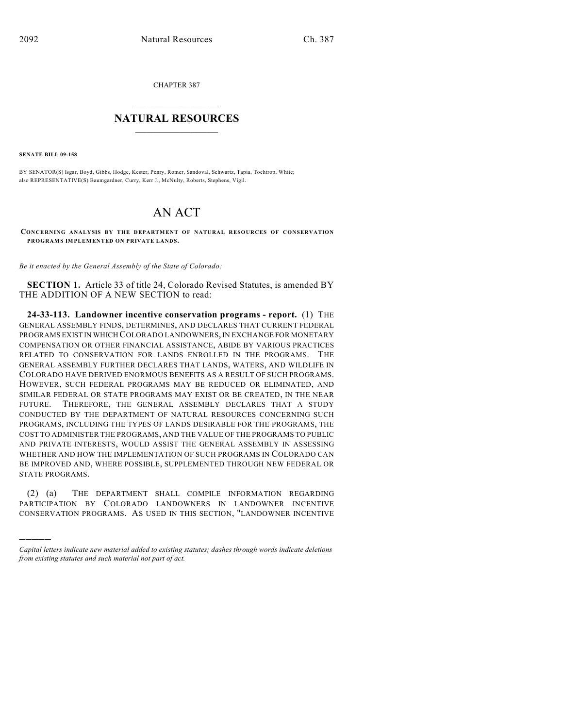CHAPTER 387

## $\overline{\phantom{a}}$  . The set of the set of the set of the set of the set of the set of the set of the set of the set of the set of the set of the set of the set of the set of the set of the set of the set of the set of the set o **NATURAL RESOURCES**  $\frac{1}{\sqrt{2}}$  , where  $\frac{1}{\sqrt{2}}$  ,  $\frac{1}{\sqrt{2}}$  ,  $\frac{1}{\sqrt{2}}$

**SENATE BILL 09-158**

)))))

BY SENATOR(S) Isgar, Boyd, Gibbs, Hodge, Kester, Penry, Romer, Sandoval, Schwartz, Tapia, Tochtrop, White; also REPRESENTATIVE(S) Baumgardner, Curry, Kerr J., McNulty, Roberts, Stephens, Vigil.

## AN ACT

**CONCERNING ANALYSIS BY THE DEPARTMENT OF NATURAL RESOURCES OF CONSERVATION PROGRAMS IMPLEMENTED ON PRIVATE LANDS.**

*Be it enacted by the General Assembly of the State of Colorado:*

**SECTION 1.** Article 33 of title 24, Colorado Revised Statutes, is amended BY THE ADDITION OF A NEW SECTION to read:

**24-33-113. Landowner incentive conservation programs - report.** (1) THE GENERAL ASSEMBLY FINDS, DETERMINES, AND DECLARES THAT CURRENT FEDERAL PROGRAMS EXIST IN WHICH COLORADO LANDOWNERS, IN EXCHANGE FOR MONETARY COMPENSATION OR OTHER FINANCIAL ASSISTANCE, ABIDE BY VARIOUS PRACTICES RELATED TO CONSERVATION FOR LANDS ENROLLED IN THE PROGRAMS. THE GENERAL ASSEMBLY FURTHER DECLARES THAT LANDS, WATERS, AND WILDLIFE IN COLORADO HAVE DERIVED ENORMOUS BENEFITS AS A RESULT OF SUCH PROGRAMS. HOWEVER, SUCH FEDERAL PROGRAMS MAY BE REDUCED OR ELIMINATED, AND SIMILAR FEDERAL OR STATE PROGRAMS MAY EXIST OR BE CREATED, IN THE NEAR FUTURE. THEREFORE, THE GENERAL ASSEMBLY DECLARES THAT A STUDY CONDUCTED BY THE DEPARTMENT OF NATURAL RESOURCES CONCERNING SUCH PROGRAMS, INCLUDING THE TYPES OF LANDS DESIRABLE FOR THE PROGRAMS, THE COST TO ADMINISTER THE PROGRAMS, AND THE VALUE OF THE PROGRAMS TO PUBLIC AND PRIVATE INTERESTS, WOULD ASSIST THE GENERAL ASSEMBLY IN ASSESSING WHETHER AND HOW THE IMPLEMENTATION OF SUCH PROGRAMS IN COLORADO CAN BE IMPROVED AND, WHERE POSSIBLE, SUPPLEMENTED THROUGH NEW FEDERAL OR STATE PROGRAMS.

(2) (a) THE DEPARTMENT SHALL COMPILE INFORMATION REGARDING PARTICIPATION BY COLORADO LANDOWNERS IN LANDOWNER INCENTIVE CONSERVATION PROGRAMS. AS USED IN THIS SECTION, "LANDOWNER INCENTIVE

*Capital letters indicate new material added to existing statutes; dashes through words indicate deletions from existing statutes and such material not part of act.*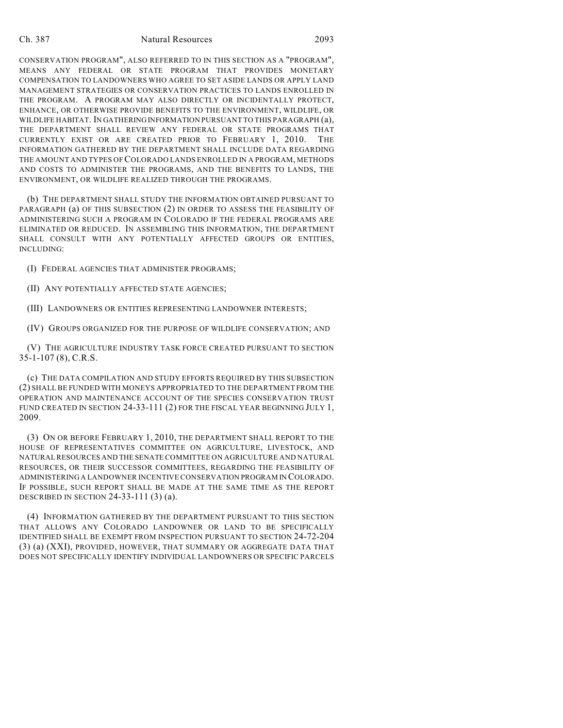## Ch. 387 Natural Resources 2093

CONSERVATION PROGRAM", ALSO REFERRED TO IN THIS SECTION AS A "PROGRAM", MEANS ANY FEDERAL OR STATE PROGRAM THAT PROVIDES MONETARY COMPENSATION TO LANDOWNERS WHO AGREE TO SET ASIDE LANDS OR APPLY LAND MANAGEMENT STRATEGIES OR CONSERVATION PRACTICES TO LANDS ENROLLED IN THE PROGRAM. A PROGRAM MAY ALSO DIRECTLY OR INCIDENTALLY PROTECT, ENHANCE, OR OTHERWISE PROVIDE BENEFITS TO THE ENVIRONMENT, WILDLIFE, OR WILDLIFE HABITAT. IN GATHERING INFORMATION PURSUANT TO THIS PARAGRAPH (a), THE DEPARTMENT SHALL REVIEW ANY FEDERAL OR STATE PROGRAMS THAT CURRENTLY EXIST OR ARE CREATED PRIOR TO FEBRUARY 1, 2010. THE INFORMATION GATHERED BY THE DEPARTMENT SHALL INCLUDE DATA REGARDING THE AMOUNT AND TYPES OF COLORADO LANDS ENROLLED IN A PROGRAM, METHODS AND COSTS TO ADMINISTER THE PROGRAMS, AND THE BENEFITS TO LANDS, THE ENVIRONMENT, OR WILDLIFE REALIZED THROUGH THE PROGRAMS.

(b) THE DEPARTMENT SHALL STUDY THE INFORMATION OBTAINED PURSUANT TO PARAGRAPH (a) OF THIS SUBSECTION (2) IN ORDER TO ASSESS THE FEASIBILITY OF ADMINISTERING SUCH A PROGRAM IN COLORADO IF THE FEDERAL PROGRAMS ARE ELIMINATED OR REDUCED. IN ASSEMBLING THIS INFORMATION, THE DEPARTMENT SHALL CONSULT WITH ANY POTENTIALLY AFFECTED GROUPS OR ENTITIES, INCLUDING:

(I) FEDERAL AGENCIES THAT ADMINISTER PROGRAMS;

(II) ANY POTENTIALLY AFFECTED STATE AGENCIES;

(III) LANDOWNERS OR ENTITIES REPRESENTING LANDOWNER INTERESTS;

(IV) GROUPS ORGANIZED FOR THE PURPOSE OF WILDLIFE CONSERVATION; AND

(V) THE AGRICULTURE INDUSTRY TASK FORCE CREATED PURSUANT TO SECTION 35-1-107 (8), C.R.S.

(c) THE DATA COMPILATION AND STUDY EFFORTS REQUIRED BY THIS SUBSECTION (2) SHALL BE FUNDED WITH MONEYS APPROPRIATED TO THE DEPARTMENT FROM THE OPERATION AND MAINTENANCE ACCOUNT OF THE SPECIES CONSERVATION TRUST FUND CREATED IN SECTION 24-33-111 (2) FOR THE FISCAL YEAR BEGINNING JULY 1, 2009.

(3) ON OR BEFORE FEBRUARY 1, 2010, THE DEPARTMENT SHALL REPORT TO THE HOUSE OF REPRESENTATIVES COMMITTEE ON AGRICULTURE, LIVESTOCK, AND NATURAL RESOURCES AND THE SENATE COMMITTEE ON AGRICULTURE AND NATURAL RESOURCES, OR THEIR SUCCESSOR COMMITTEES, REGARDING THE FEASIBILITY OF ADMINISTERING A LANDOWNER INCENTIVE CONSERVATION PROGRAM IN COLORADO. IF POSSIBLE, SUCH REPORT SHALL BE MADE AT THE SAME TIME AS THE REPORT DESCRIBED IN SECTION 24-33-111 $(3)$  $(a)$ .

(4) INFORMATION GATHERED BY THE DEPARTMENT PURSUANT TO THIS SECTION THAT ALLOWS ANY COLORADO LANDOWNER OR LAND TO BE SPECIFICALLY IDENTIFIED SHALL BE EXEMPT FROM INSPECTION PURSUANT TO SECTION 24-72-204 (3) (a) (XXI), PROVIDED, HOWEVER, THAT SUMMARY OR AGGREGATE DATA THAT DOES NOT SPECIFICALLY IDENTIFY INDIVIDUAL LANDOWNERS OR SPECIFIC PARCELS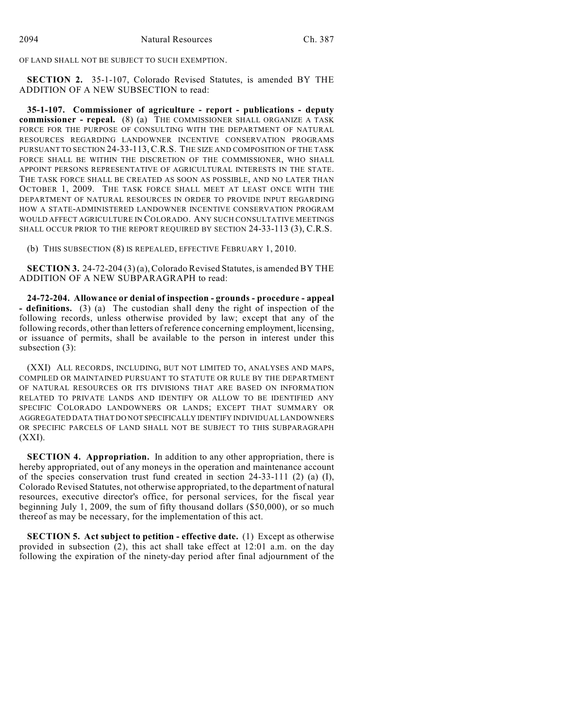OF LAND SHALL NOT BE SUBJECT TO SUCH EXEMPTION.

**SECTION 2.** 35-1-107, Colorado Revised Statutes, is amended BY THE ADDITION OF A NEW SUBSECTION to read:

**35-1-107. Commissioner of agriculture - report - publications - deputy commissioner - repeal.** (8) (a) THE COMMISSIONER SHALL ORGANIZE A TASK FORCE FOR THE PURPOSE OF CONSULTING WITH THE DEPARTMENT OF NATURAL RESOURCES REGARDING LANDOWNER INCENTIVE CONSERVATION PROGRAMS PURSUANT TO SECTION 24-33-113, C.R.S. THE SIZE AND COMPOSITION OF THE TASK FORCE SHALL BE WITHIN THE DISCRETION OF THE COMMISSIONER, WHO SHALL APPOINT PERSONS REPRESENTATIVE OF AGRICULTURAL INTERESTS IN THE STATE. THE TASK FORCE SHALL BE CREATED AS SOON AS POSSIBLE, AND NO LATER THAN OCTOBER 1, 2009. THE TASK FORCE SHALL MEET AT LEAST ONCE WITH THE DEPARTMENT OF NATURAL RESOURCES IN ORDER TO PROVIDE INPUT REGARDING HOW A STATE-ADMINISTERED LANDOWNER INCENTIVE CONSERVATION PROGRAM WOULD AFFECT AGRICULTURE IN COLORADO. ANY SUCH CONSULTATIVE MEETINGS SHALL OCCUR PRIOR TO THE REPORT REQUIRED BY SECTION 24-33-113 (3), C.R.S.

(b) THIS SUBSECTION (8) IS REPEALED, EFFECTIVE FEBRUARY 1, 2010.

**SECTION 3.** 24-72-204 (3) (a), Colorado Revised Statutes, is amended BY THE ADDITION OF A NEW SUBPARAGRAPH to read:

**24-72-204. Allowance or denial of inspection - grounds - procedure - appeal - definitions.** (3) (a) The custodian shall deny the right of inspection of the following records, unless otherwise provided by law; except that any of the following records, other than letters of reference concerning employment, licensing, or issuance of permits, shall be available to the person in interest under this subsection (3):

(XXI) ALL RECORDS, INCLUDING, BUT NOT LIMITED TO, ANALYSES AND MAPS, COMPILED OR MAINTAINED PURSUANT TO STATUTE OR RULE BY THE DEPARTMENT OF NATURAL RESOURCES OR ITS DIVISIONS THAT ARE BASED ON INFORMATION RELATED TO PRIVATE LANDS AND IDENTIFY OR ALLOW TO BE IDENTIFIED ANY SPECIFIC COLORADO LANDOWNERS OR LANDS; EXCEPT THAT SUMMARY OR AGGREGATED DATA THAT DO NOT SPECIFICALLY IDENTIFY INDIVIDUAL LANDOWNERS OR SPECIFIC PARCELS OF LAND SHALL NOT BE SUBJECT TO THIS SUBPARAGRAPH (XXI).

**SECTION 4. Appropriation.** In addition to any other appropriation, there is hereby appropriated, out of any moneys in the operation and maintenance account of the species conservation trust fund created in section 24-33-111 (2) (a) (I), Colorado Revised Statutes, not otherwise appropriated, to the department of natural resources, executive director's office, for personal services, for the fiscal year beginning July 1, 2009, the sum of fifty thousand dollars (\$50,000), or so much thereof as may be necessary, for the implementation of this act.

**SECTION 5. Act subject to petition - effective date.** (1) Except as otherwise provided in subsection (2), this act shall take effect at 12:01 a.m. on the day following the expiration of the ninety-day period after final adjournment of the